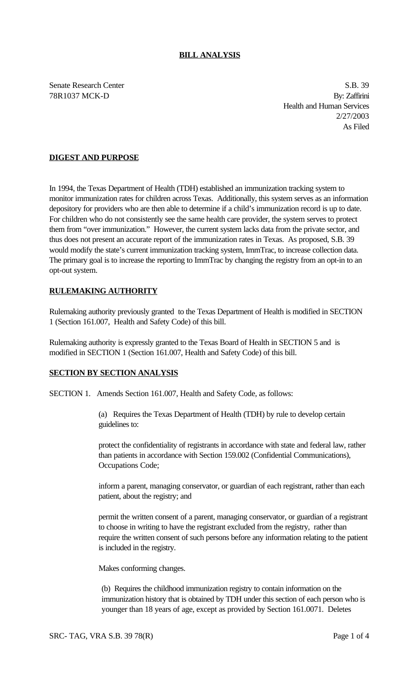Senate Research Center S.B. 39 78R1037 MCK-D By: Zaffirini Health and Human Services 2/27/2003 As Filed

## **DIGEST AND PURPOSE**

In 1994, the Texas Department of Health (TDH) established an immunization tracking system to monitor immunization rates for children across Texas. Additionally, this system serves as an information depository for providers who are then able to determine if a child's immunization record is up to date. For children who do not consistently see the same health care provider, the system serves to protect them from "over immunization." However, the current system lacks data from the private sector, and thus does not present an accurate report of the immunization rates in Texas. As proposed, S.B. 39 would modify the state's current immunization tracking system, ImmTrac, to increase collection data. The primary goal is to increase the reporting to ImmTrac by changing the registry from an opt-in to an opt-out system.

## **RULEMAKING AUTHORITY**

Rulemaking authority previously granted to the Texas Department of Health is modified in SECTION 1 (Section 161.007, Health and Safety Code) of this bill.

Rulemaking authority is expressly granted to the Texas Board of Health in SECTION 5 and is modified in SECTION 1 (Section 161.007, Health and Safety Code) of this bill.

## **SECTION BY SECTION ANALYSIS**

SECTION 1. Amends Section 161.007, Health and Safety Code, as follows:

(a) Requires the Texas Department of Health (TDH) by rule to develop certain guidelines to:

protect the confidentiality of registrants in accordance with state and federal law, rather than patients in accordance with Section 159.002 (Confidential Communications), Occupations Code;

inform a parent, managing conservator, or guardian of each registrant, rather than each patient, about the registry; and

permit the written consent of a parent, managing conservator, or guardian of a registrant to choose in writing to have the registrant excluded from the registry, rather than require the written consent of such persons before any information relating to the patient is included in the registry.

Makes conforming changes.

(b) Requires the childhood immunization registry to contain information on the immunization history that is obtained by TDH under this section of each person who is younger than 18 years of age, except as provided by Section 161.0071. Deletes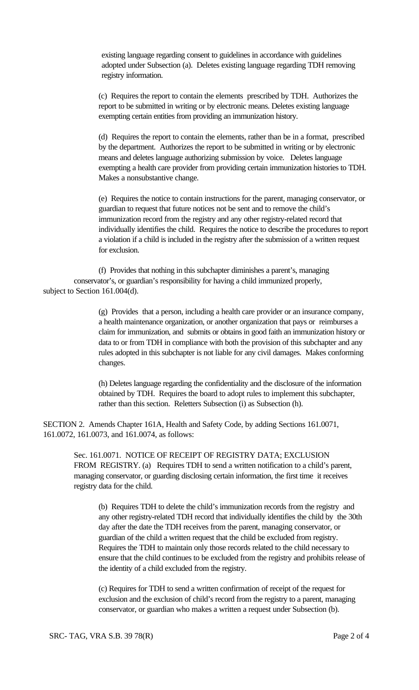existing language regarding consent to guidelines in accordance with guidelines adopted under Subsection (a). Deletes existing language regarding TDH removing registry information.

(c) Requires the report to contain the elements prescribed by TDH. Authorizes the report to be submitted in writing or by electronic means. Deletes existing language exempting certain entities from providing an immunization history.

(d) Requires the report to contain the elements, rather than be in a format, prescribed by the department. Authorizes the report to be submitted in writing or by electronic means and deletes language authorizing submission by voice. Deletes language exempting a health care provider from providing certain immunization histories to TDH. Makes a nonsubstantive change.

(e) Requires the notice to contain instructions for the parent, managing conservator, or guardian to request that future notices not be sent and to remove the child's immunization record from the registry and any other registry-related record that individually identifies the child. Requires the notice to describe the procedures to report a violation if a child is included in the registry after the submission of a written request for exclusion.

(f) Provides that nothing in this subchapter diminishes a parent's, managing conservator's, or guardian's responsibility for having a child immunized properly, subject to Section 161.004(d).

> (g) Provides that a person, including a health care provider or an insurance company, a health maintenance organization, or another organization that pays or reimburses a claim for immunization, and submits or obtains in good faith an immunization history or data to or from TDH in compliance with both the provision of this subchapter and any rules adopted in this subchapter is not liable for any civil damages. Makes conforming changes.

(h) Deletes language regarding the confidentiality and the disclosure of the information obtained by TDH. Requires the board to adopt rules to implement this subchapter, rather than this section. Reletters Subsection (i) as Subsection (h).

SECTION 2. Amends Chapter 161A, Health and Safety Code, by adding Sections 161.0071, 161.0072, 161.0073, and 161.0074, as follows:

> Sec. 161.0071. NOTICE OF RECEIPT OF REGISTRY DATA; EXCLUSION FROM REGISTRY. (a) Requires TDH to send a written notification to a child's parent, managing conservator, or guarding disclosing certain information, the first time it receives registry data for the child.

(b) Requires TDH to delete the child's immunization records from the registry and any other registry-related TDH record that individually identifies the child by the 30th day after the date the TDH receives from the parent, managing conservator, or guardian of the child a written request that the child be excluded from registry. Requires the TDH to maintain only those records related to the child necessary to ensure that the child continues to be excluded from the registry and prohibits release of the identity of a child excluded from the registry.

(c) Requires for TDH to send a written confirmation of receipt of the request for exclusion and the exclusion of child's record from the registry to a parent, managing conservator, or guardian who makes a written a request under Subsection (b).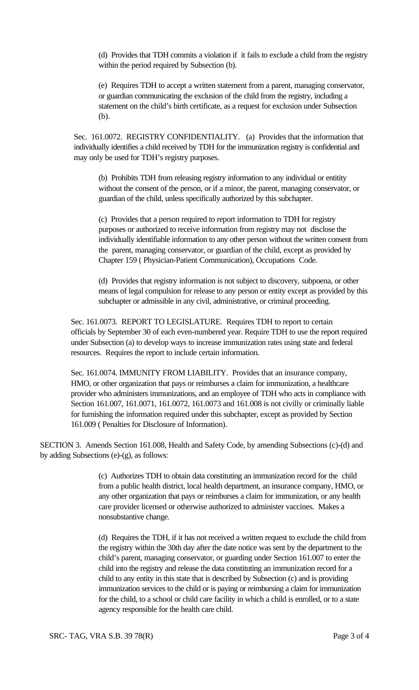(d) Provides that TDH commits a violation if it fails to exclude a child from the registry within the period required by Subsection (b).

(e) Requires TDH to accept a written statement from a parent, managing conservator, or guardian communicating the exclusion of the child from the registry, including a statement on the child's birth certificate, as a request for exclusion under Subsection (b).

Sec. 161.0072. REGISTRY CONFIDENTIALITY. (a) Provides that the information that individually identifies a child received by TDH for the immunization registry is confidential and may only be used for TDH's registry purposes.

(b) Prohibits TDH from releasing registry information to any individual or entitity without the consent of the person, or if a minor, the parent, managing conservator, or guardian of the child, unless specifically authorized by this subchapter.

(c) Provides that a person required to report information to TDH for registry purposes or authorized to receive information from registry may not disclose the individually identifiable information to any other person without the written consent from the parent, managing conservator, or guardian of the child, except as provided by Chapter 159 ( Physician-Patient Communication), Occupations Code.

 (d) Provides that registry information is not subject to discovery, subpoena, or other means of legal compulsion for release to any person or entity except as provided by this subchapter or admissible in any civil, administrative, or criminal proceeding.

Sec. 161.0073. REPORT TO LEGISLATURE. Requires TDH to report to certain officials by September 30 of each even-numbered year. Require TDH to use the report required under Subsection (a) to develop ways to increase immunization rates using state and federal resources. Requires the report to include certain information.

Sec. 161.0074. IMMUNITY FROM LIABILITY. Provides that an insurance company, HMO, or other organization that pays or reimburses a claim for immunization, a healthcare provider who administers immunizations, and an employee of TDH who acts in compliance with Section 161.007, 161.0071, 161.0072, 161.0073 and 161.008 is not civilly or criminally liable for furnishing the information required under this subchapter, except as provided by Section 161.009 ( Penalties for Disclosure of Information).

SECTION 3. Amends Section 161.008, Health and Safety Code, by amending Subsections (c)-(d) and by adding Subsections (e)-(g), as follows:

> (c) Authorizes TDH to obtain data constituting an immunization record for the child from a public health district, local health department, an insurance company, HMO, or any other organization that pays or reimburses a claim for immunization, or any health care provider licensed or otherwise authorized to administer vaccines. Makes a nonsubstantive change.

(d) Requires the TDH, if it has not received a written request to exclude the child from the registry within the 30th day after the date notice was sent by the department to the child's parent, managing conservator, or guarding under Section 161.007 to enter the child into the registry and release the data constituting an immunization record for a child to any entity in this state that is described by Subsection (c) and is providing immunization services to the child or is paying or reimbursing a claim for immunization for the child, to a school or child care facility in which a child is enrolled, or to a state agency responsible for the health care child.